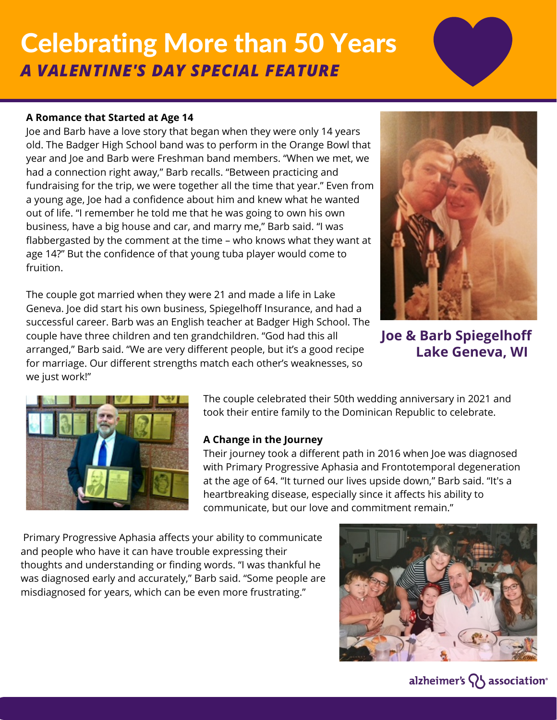## Celebrating More than 50 Years *A VALENTINE'S DAY SPECIAL FEATURE*

#### **A Romance that Started at Age 14**

Joe and Barb have a love story that began when they were only 14 years old. The Badger High School band was to perform in the Orange Bowl that year and Joe and Barb were Freshman band members. "When we met, we had a connection right away," Barb recalls. "Between practicing and fundraising for the trip, we were together all the time that year." Even from a young age, Joe had a confidence about him and knew what he wanted out of life. "I remember he told me that he was going to own his own business, have a big house and car, and marry me," Barb said. "I was flabbergasted by the comment at the time – who knows what they want at age 14?" But the confidence of that young tuba player would come to fruition.

The couple got married when they were 21 and made a life in Lake Geneva. Joe did start his own business, Spiegelhoff Insurance, and had a successful career. Barb was an English teacher at Badger High School. The couple have three children and ten grandchildren. "God had this all arranged," Barb said. "We are very different people, but it's a good recipe for marriage. Our different strengths match each other's weaknesses, so we just work!"



**Joe & Barb Spiegelhoff Lake Geneva, WI**



The couple celebrated their 50th wedding anniversary in 2021 and took their entire family to the Dominican Republic to celebrate.

#### **A Change in the Journey**

Their journey took a different path in 2016 when Joe was diagnosed with Primary Progressive Aphasia and Frontotemporal degeneration at the age of 64. "It turned our lives upside down," Barb said. "It's a heartbreaking disease, especially since it affects his ability to communicate, but our love and commitment remain."

Primary Progressive Aphasia affects your ability to communicate and people who have it can have trouble expressing their thoughts and understanding or finding words. "I was thankful he was diagnosed early and accurately," Barb said. "Some people are misdiagnosed for years, which can be even more frustrating."



alzheimer's  $\{ \}$  association<sup>®</sup>